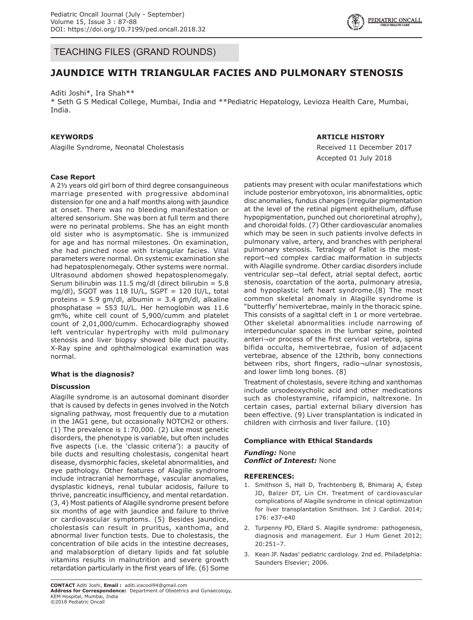TEACHING FILES (GRAND ROUNDS)

# **JAUNDICE WITH TRIANGULAR FACIES AND PULMONARY STENOSIS**

## Aditi Joshi\*, Ira Shah\*\*

\* Seth G S Medical College, Mumbai, India and \*\*Pediatric Hepatology, Levioza Health Care, Mumbai, India.

## **KEYWORDS**

Alagille Syndrome, Neonatal Cholestasis

## **Case Report**

A 2½ years old girl born of third degree consanguineous marriage presented with progressive abdominal distension for one and a half months along with jaundice at onset. There was no bleeding manifestation or altered sensorium. She was born at full term and there were no perinatal problems. She has an eight month old sister who is asymptomatic. She is immunized for age and has normal milestones. On examination, she had pinched nose with triangular facies. Vital parameters were normal. On systemic examination she had hepatosplenomegaly. Other systems were normal. Ultrasound abdomen showed hepatosplenomegaly. Serum bilirubin was 11.5 mg/dl (direct bilirubin =  $5.8$ mg/dl), SGOT was  $118$  IU/L, SGPT = 120 IU/L, total proteins =  $5.9$  gm/dl, albumin =  $3.4$  gm/dl, alkaline phosphatase = 553 IU/L. Her hemoglobin was  $11.6$ gm%, white cell count of 5,900/cumm and platelet count of 2,01,000/cumm. Echocardiography showed left ventricular hypertrophy with mild pulmonary stenosis and liver biopsy showed bile duct paucity. X-Ray spine and ophthalmological examination was normal.

## **What is the diagnosis?**

## **Discussion**

Alagille syndrome is an autosomal dominant disorder that is caused by defects in genes involved in the Notch signaling pathway, most frequently due to a mutation in the JAG1 gene, but occasionally NOTCH2 or others. (1) The prevalence is 1:70,000. (2) Like most genetic disorders, the phenotype is variable, but often includes five aspects (i.e. the 'classic criteria'): a paucity of bile ducts and resulting cholestasis, congenital heart disease, dysmorphic facies, skeletal abnormalities, and eye pathology. Other features of Alagille syndrome include intracranial hemorrhage, vascular anomalies, dysplastic kidneys, renal tubular acidosis, failure to thrive, pancreatic insufficiency, and mental retardation. (3, 4) Most patients of Alagille syndrome present before six months of age with jaundice and failure to thrive or cardiovascular symptoms. (5) Besides jaundice, cholestasis can result in pruritus, xanthoma, and abnormal liver function tests. Due to cholestasis, the concentration of bile acids in the intestine decreases, and malabsorption of dietary lipids and fat soluble vitamins results in malnutrition and severe growth retardation particularly in the first years of life. (6) Some

## **ARTICLE HISTORY**

Received 11 December 2017 Accepted 01 July 2018

patients may present with ocular manifestations which include posterior embryotoxon, iris abnormalities, optic disc anomalies, fundus changes (irregular pigmentation at the level of the retinal pigment epithelium, diffuse hypopigmentation, punched out chorioretinal atrophy), and choroidal folds. (7) Other cardiovascular anomalies which may be seen in such patients involve defects in pulmonary valve, artery, and branches with peripheral pulmonary stenosis. Tetralogy of Fallot is the mostreport¬ed complex cardiac malformation in subjects with Alagille syndrome. Other cardiac disorders include ventricular sep¬tal defect, atrial septal defect, aortic stenosis, coarctation of the aorta, pulmonary atresia, and hypoplastic left heart syndrome.(8) The most common skeletal anomaly in Alagille syndrome is "butterfly' hemivertebrae, mainly in the thoracic spine. This consists of a sagittal cleft in 1 or more vertebrae. Other skeletal abnormalities include narrowing of interpeduncular spaces in the lumbar spine, pointed anteri¬or process of the first cervical vertebra, spina bifida occulta, hemivertebrae, fusion of adjacent vertebrae, absence of the 12thrib, bony connections between ribs, short fingers, radio¬ulnar synostosis, and lower limb long bones. (8)

Treatment of cholestasis, severe itching and xanthomas include ursodeoxycholic acid and other medications such as cholestyramine, rifampicin, naltrexone. In certain cases, partial external biliary diversion has been effective. (9) Liver transplantation is indicated in children with cirrhosis and liver failure. (10)

## **Compliance with Ethical Standards**

## *Funding:* None *Conflict of Interest:* None

## **REFERENCES:**

- 1. Smithson S, Hall D, Trachtenberg B, Bhimaraj A, Estep JD, Balzer DT, Lin CH. Treatment of cardiovascular complications of Alagille syndrome in clinical optimization for liver transplantation Smithson. Int J Cardiol. 2014; 176: e37-e40
- 2. Turpenny PD, Ellard S. Alagille syndrome: pathogenesis, diagnosis and management. Eur J Hum Genet 2012; 20:251–7.
- 3. Kean JF. Nadas' pediatric cardiology. 2nd ed. Philadelphia: Saunders Elsevier; 2006.